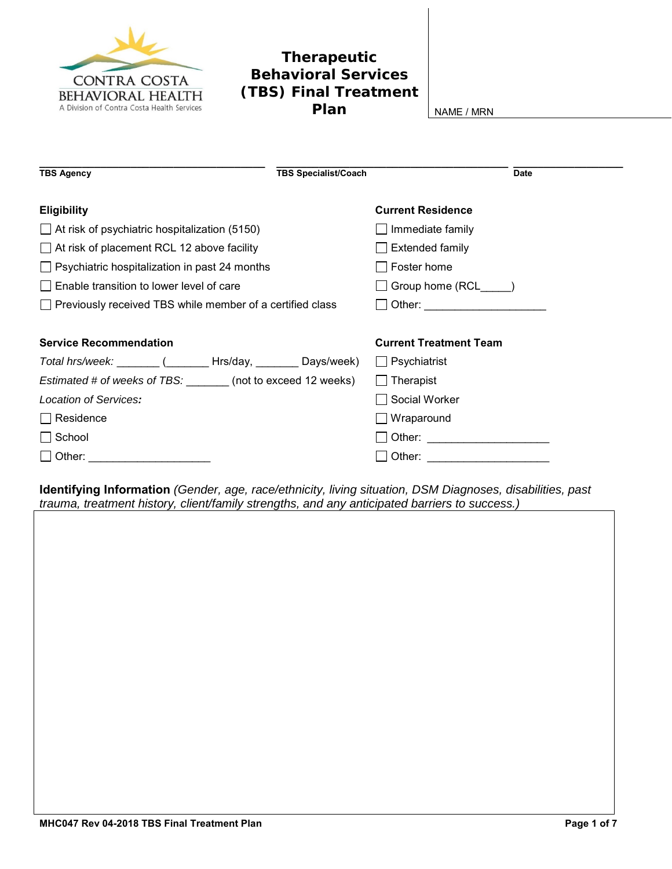

## **Therapeutic Behavioral Services (TBS) Final Treatment Plan** NAME/MRN

| <b>Current Residence</b><br><b>Eligibility</b><br>$\Box$ At risk of psychiatric hospitalization (5150)<br>$\Box$ Immediate family<br>$\Box$ At risk of placement RCL 12 above facility<br>Extended family<br>$\Box$ Psychiatric hospitalization in past 24 months<br>Foster home<br>Enable transition to lower level of care<br>□ Group home (RCL_____)<br>$\Box$ Previously received TBS while member of a certified class<br>□ Other: ______________________ |
|----------------------------------------------------------------------------------------------------------------------------------------------------------------------------------------------------------------------------------------------------------------------------------------------------------------------------------------------------------------------------------------------------------------------------------------------------------------|
|                                                                                                                                                                                                                                                                                                                                                                                                                                                                |
|                                                                                                                                                                                                                                                                                                                                                                                                                                                                |
|                                                                                                                                                                                                                                                                                                                                                                                                                                                                |
|                                                                                                                                                                                                                                                                                                                                                                                                                                                                |
|                                                                                                                                                                                                                                                                                                                                                                                                                                                                |
|                                                                                                                                                                                                                                                                                                                                                                                                                                                                |
|                                                                                                                                                                                                                                                                                                                                                                                                                                                                |
| <b>Service Recommendation</b><br><b>Current Treatment Team</b>                                                                                                                                                                                                                                                                                                                                                                                                 |
| Total hrs/week: (Changel Hrs/day, Chays/week)<br>$\Box$ Psychiatrist                                                                                                                                                                                                                                                                                                                                                                                           |
| Estimated # of weeks of TBS: (not to exceed 12 weeks)<br>$\Box$ Therapist                                                                                                                                                                                                                                                                                                                                                                                      |
| Location of Services:<br>Social Worker                                                                                                                                                                                                                                                                                                                                                                                                                         |
| $\Box$ Residence<br>$\Box$ Wraparound                                                                                                                                                                                                                                                                                                                                                                                                                          |
| $\Box$ School<br>□ Other: _____________________                                                                                                                                                                                                                                                                                                                                                                                                                |
| $\Box$ Other:                                                                                                                                                                                                                                                                                                                                                                                                                                                  |

**Identifying Information** *(Gender, age, race/ethnicity, living situation, DSM Diagnoses, disabilities, past trauma, treatment history, client/family strengths, and any anticipated barriers to success.)*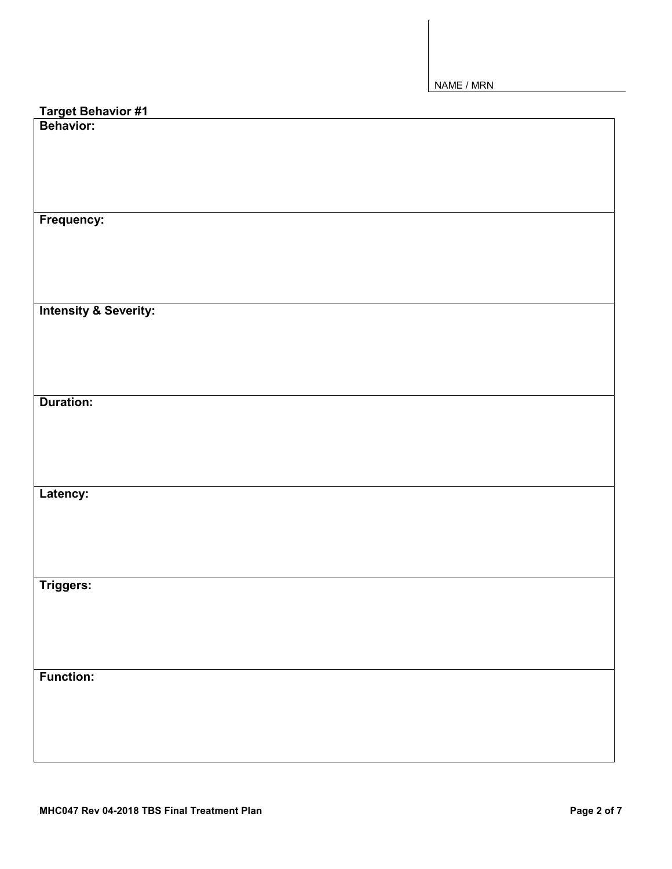| Target Behavior #1<br>Behavior:  |
|----------------------------------|
|                                  |
|                                  |
|                                  |
|                                  |
|                                  |
|                                  |
| Frequency:                       |
|                                  |
|                                  |
|                                  |
|                                  |
|                                  |
| <b>Intensity &amp; Severity:</b> |
|                                  |
|                                  |
|                                  |
|                                  |
| <b>Duration:</b>                 |
|                                  |
|                                  |
|                                  |
|                                  |
|                                  |
| Latency:                         |
|                                  |
|                                  |
|                                  |
|                                  |
|                                  |
| Triggers:                        |
|                                  |
|                                  |
|                                  |
|                                  |
|                                  |
| <b>Function:</b>                 |
|                                  |
|                                  |
|                                  |
|                                  |
|                                  |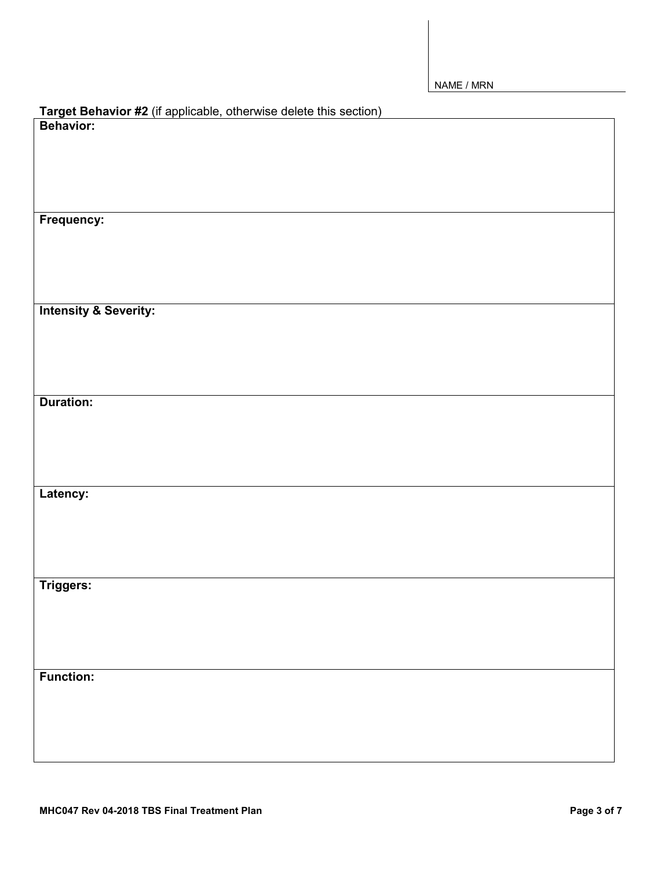| Target Behavior #2 (if applicable, otherwise delete this section)<br>Behavior: |
|--------------------------------------------------------------------------------|
|                                                                                |
|                                                                                |
|                                                                                |
|                                                                                |
|                                                                                |
| Frequency:                                                                     |
|                                                                                |
|                                                                                |
|                                                                                |
| <b>Intensity &amp; Severity:</b>                                               |
|                                                                                |
|                                                                                |
|                                                                                |
|                                                                                |
| <b>Duration:</b>                                                               |
|                                                                                |
|                                                                                |
|                                                                                |
|                                                                                |
| Latency:                                                                       |
|                                                                                |
|                                                                                |
|                                                                                |
|                                                                                |
| Triggers:                                                                      |
|                                                                                |
|                                                                                |
|                                                                                |
| <b>Function:</b>                                                               |
|                                                                                |
|                                                                                |
|                                                                                |
|                                                                                |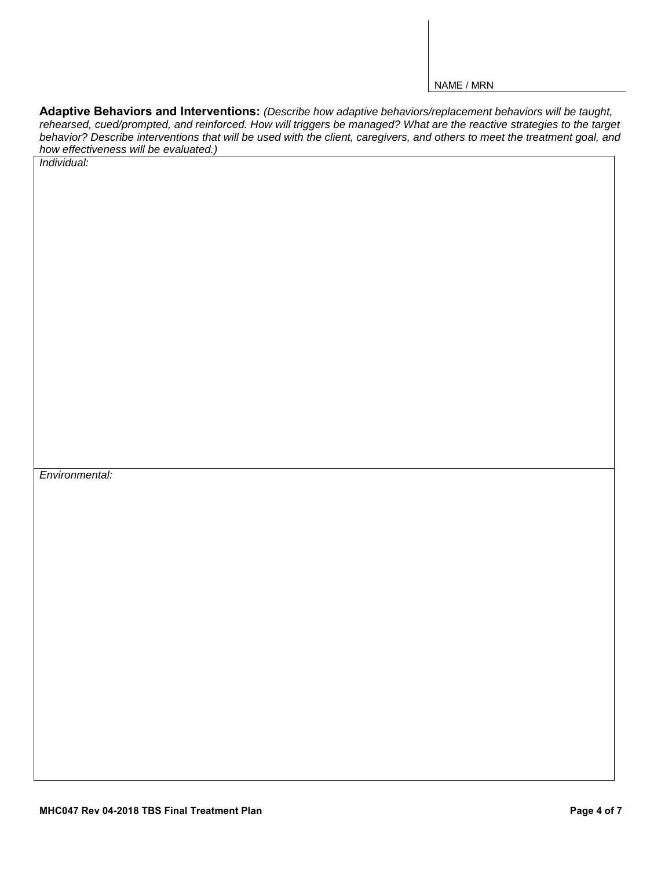**Adaptive Behaviors and Interventions:** *(Describe how adaptive behaviors/replacement behaviors will be taught, rehearsed, cued/prompted, and reinforced. How will triggers be managed? What are the reactive strategies to the target behavior? Describe interventions that will be used with the client, caregivers, and others to meet the treatment goal, and how effectiveness will be evaluated.)*

*Individual:*

*Environmental:*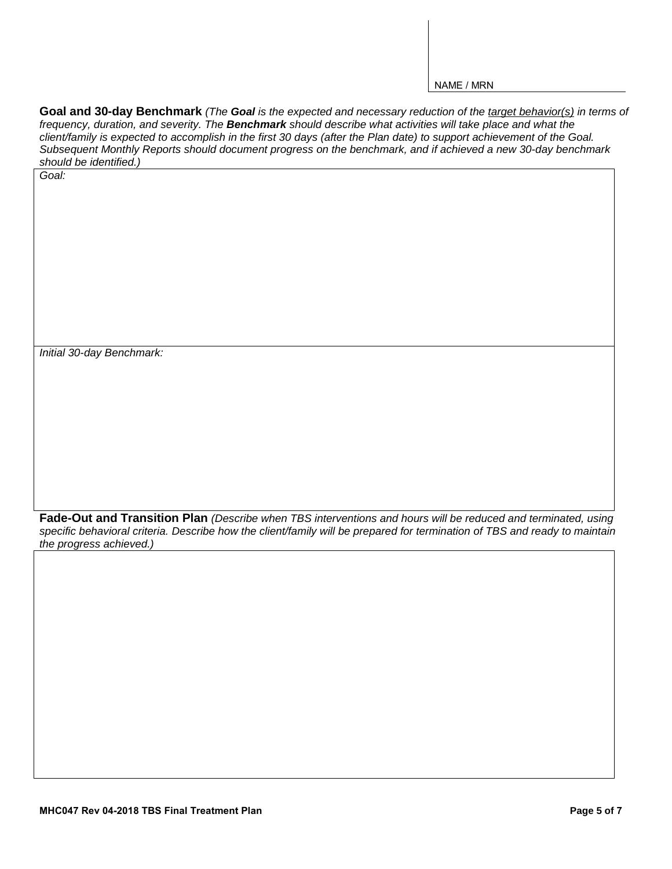**Goal and 30-day Benchmark** *(The Goal is the expected and necessary reduction of the target behavior(s) in terms of frequency, duration, and severity. The Benchmark should describe what activities will take place and what the client/family is expected to accomplish in the first 30 days (after the Plan date) to support achievement of the Goal. Subsequent Monthly Reports should document progress on the benchmark, and if achieved a new 30-day benchmark should be identified.)*

*Initial 30-day Benchmark:*

*Goal:*

**Fade-Out and Transition Plan** *(Describe when TBS interventions and hours will be reduced and terminated, using specific behavioral criteria. Describe how the client/family will be prepared for termination of TBS and ready to maintain the progress achieved.)*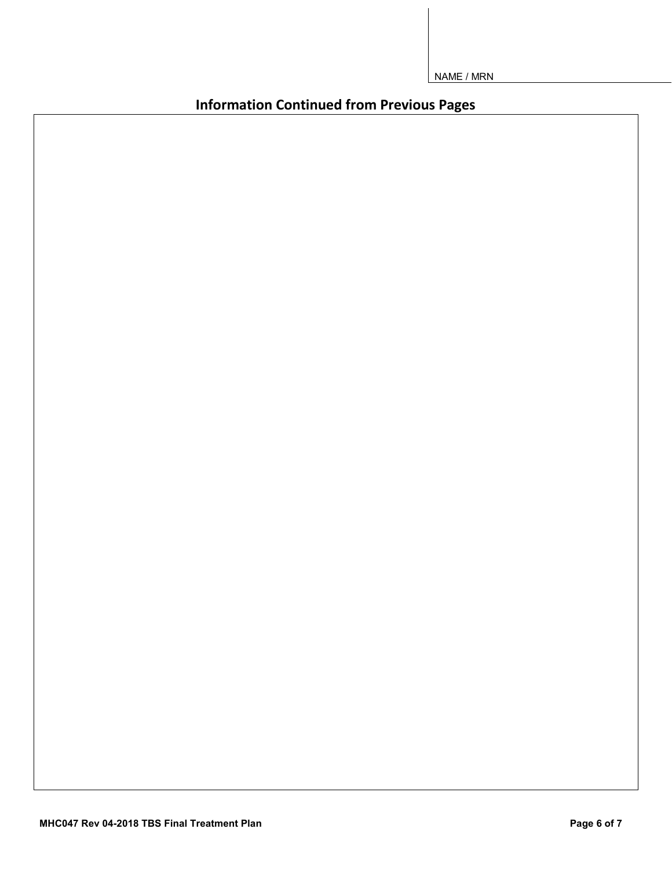**Information Continued from Previous Pages**